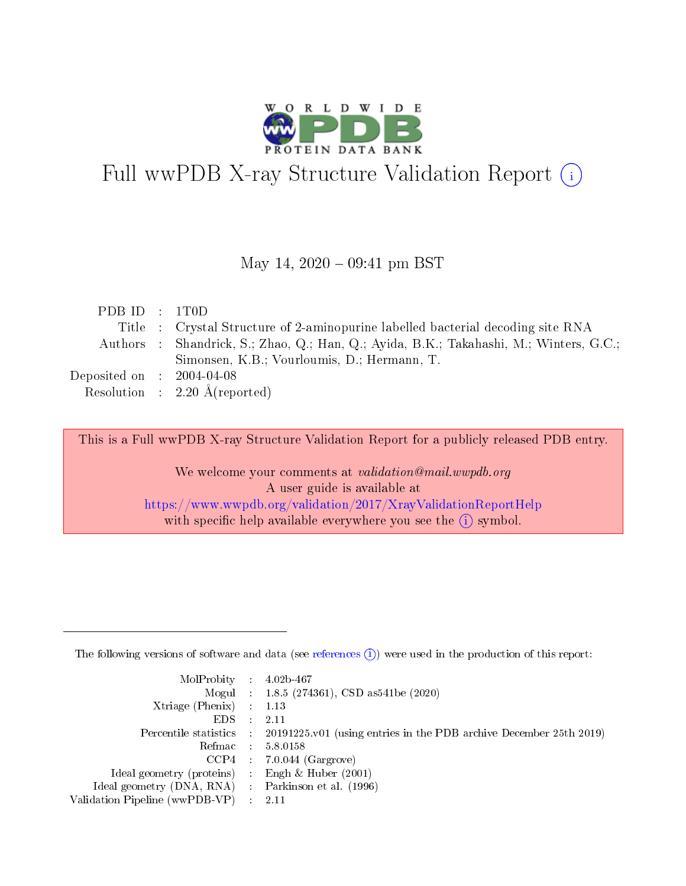

# Full wwPDB X-ray Structure Validation Report (i)

#### May 14,  $2020 - 09:41$  pm BST

| PDBID : 1T0D                                                                           |
|----------------------------------------------------------------------------------------|
| Title : Crystal Structure of 2-aminopurine labelled bacterial decoding site RNA        |
| Authors : Shandrick, S.; Zhao, Q.; Han, Q.; Ayida, B.K.; Takahashi, M.; Winters, G.C.; |
| Simonsen, K.B.; Vourloumis, D.; Hermann, T.                                            |
| Deposited on $\,$ : 2004-04-08                                                         |
| Resolution : $2.20 \text{ Å}$ (reported)                                               |
|                                                                                        |

This is a Full wwPDB X-ray Structure Validation Report for a publicly released PDB entry.

We welcome your comments at validation@mail.wwpdb.org A user guide is available at <https://www.wwpdb.org/validation/2017/XrayValidationReportHelp> with specific help available everywhere you see the  $(i)$  symbol.

The following versions of software and data (see [references](https://www.wwpdb.org/validation/2017/XrayValidationReportHelp#references)  $(1)$ ) were used in the production of this report:

| $MolProbability$ : 4.02b-467                       |               |                                                                                            |
|----------------------------------------------------|---------------|--------------------------------------------------------------------------------------------|
|                                                    |               | Mogul : $1.8.5$ (274361), CSD as 541be (2020)                                              |
| Xtriage (Phenix) $: 1.13$                          |               |                                                                                            |
| EDS.                                               | $\mathcal{L}$ | -2.11                                                                                      |
|                                                    |               | Percentile statistics : 20191225.v01 (using entries in the PDB archive December 25th 2019) |
|                                                    |               | Refmac : 5.8.0158                                                                          |
|                                                    |               | $CCP4$ 7.0.044 (Gargrove)                                                                  |
| Ideal geometry (proteins) : Engh $\&$ Huber (2001) |               |                                                                                            |
| Ideal geometry (DNA, RNA) Parkinson et al. (1996)  |               |                                                                                            |
| Validation Pipeline (wwPDB-VP) : 2.11              |               |                                                                                            |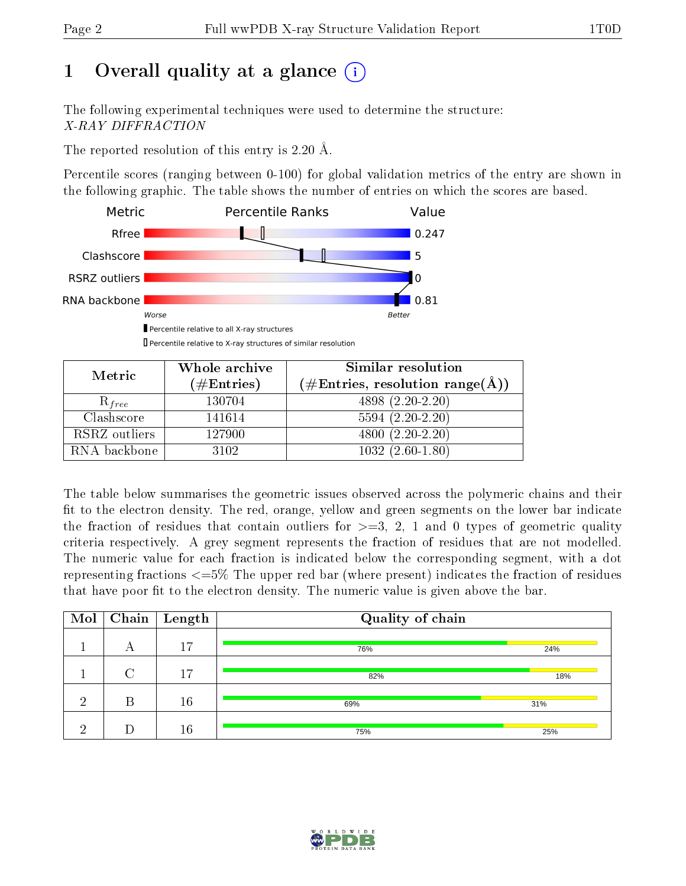# 1 [O](https://www.wwpdb.org/validation/2017/XrayValidationReportHelp#overall_quality)verall quality at a glance  $(i)$

The following experimental techniques were used to determine the structure: X-RAY DIFFRACTION

The reported resolution of this entry is 2.20 Å.

Percentile scores (ranging between 0-100) for global validation metrics of the entry are shown in the following graphic. The table shows the number of entries on which the scores are based.



Percentile relative to X-ray structures of similar resolution

| Metric        | Whole archive        | Similar resolution                                                |  |  |  |
|---------------|----------------------|-------------------------------------------------------------------|--|--|--|
|               | $(\#\text{Entries})$ | $(\# \text{Entries}, \text{ resolution } \text{range}(\text{A}))$ |  |  |  |
| $R_{free}$    | 130704               | $4898(2.20-2.20)$                                                 |  |  |  |
| Clashscore    | 141614               | $5594(2.20-2.20)$                                                 |  |  |  |
| RSRZ outliers | 127900               | $4800(2.20-2.20)$                                                 |  |  |  |
| RNA backbone  | 3102                 | $1032(2.60-1.80)$                                                 |  |  |  |

The table below summarises the geometric issues observed across the polymeric chains and their fit to the electron density. The red, orange, yellow and green segments on the lower bar indicate the fraction of residues that contain outliers for  $\geq=3$ , 2, 1 and 0 types of geometric quality criteria respectively. A grey segment represents the fraction of residues that are not modelled. The numeric value for each fraction is indicated below the corresponding segment, with a dot representing fractions  $\epsilon = 5\%$  The upper red bar (where present) indicates the fraction of residues that have poor fit to the electron density. The numeric value is given above the bar.

| $\mathrm{Mol}$ |   | $\overline{\text{Chain}}$   Length | Quality of chain |     |  |  |  |
|----------------|---|------------------------------------|------------------|-----|--|--|--|
|                | А | 17                                 | 76%              | 24% |  |  |  |
|                | ⌒ | 17                                 | 82%              | 18% |  |  |  |
| ച              | В | 16                                 | 69%              | 31% |  |  |  |
| റ              |   | 16                                 | 75%              | 25% |  |  |  |

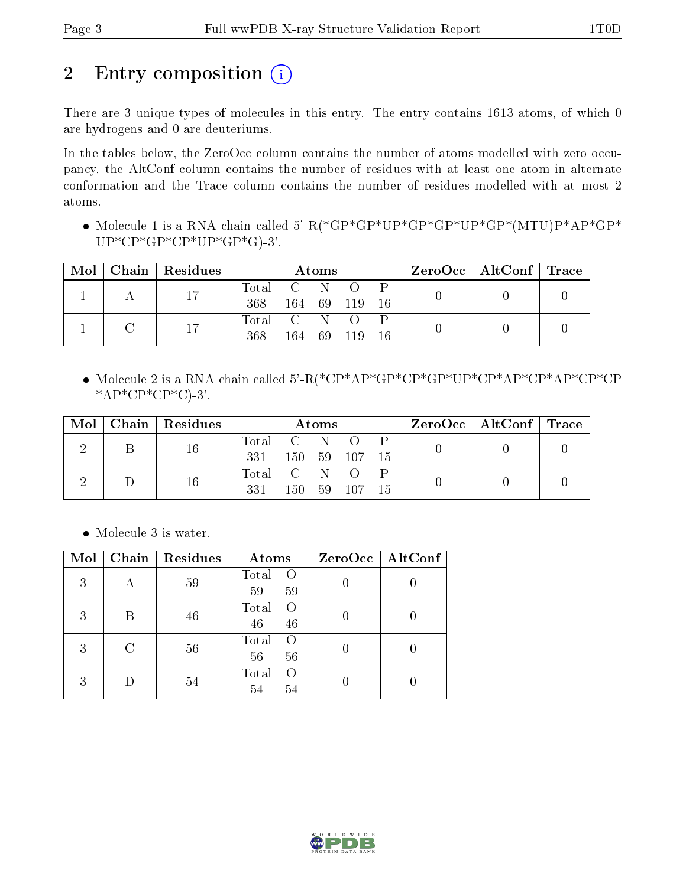# 2 Entry composition  $(i)$

There are 3 unique types of molecules in this entry. The entry contains 1613 atoms, of which 0 are hydrogens and 0 are deuteriums.

In the tables below, the ZeroOcc column contains the number of atoms modelled with zero occupancy, the AltConf column contains the number of residues with at least one atom in alternate conformation and the Trace column contains the number of residues modelled with at most 2 atoms.

 Molecule 1 is a RNA chain called 5'-R(\*GP\*GP\*UP\*GP\*GP\*UP\*GP\*(MTU)P\*AP\*GP\*  $UP*CP*GP*CP*UP*GP*GP*G$ -3'.

| Mol |  | $\mid$ Chain $\mid$ Residues | Atoms     |           |        | $\text{ZeroOcc} \mid \text{AltConf} \mid \text{Trace}$ |          |  |  |  |
|-----|--|------------------------------|-----------|-----------|--------|--------------------------------------------------------|----------|--|--|--|
|     |  | 17                           | Total C N |           |        | $\Omega$                                               |          |  |  |  |
|     |  |                              | 368       |           |        | 164 69 119                                             | -16      |  |  |  |
|     |  |                              | 17        | Total C N |        |                                                        | $\Omega$ |  |  |  |
|     |  | 368                          | 164 -     |           | 69 119 | 16                                                     |          |  |  |  |

 Molecule 2 is a RNA chain called 5'-R(\*CP\*AP\*GP\*CP\*GP\*UP\*CP\*AP\*CP\*AP\*CP\*CP  $*AP*CP*CP*C$ .3'.

| Mol |  | Chain   Residues | Atoms       |  |            | $\text{ZeroOcc}$   AltConf   Trace |  |  |  |
|-----|--|------------------|-------------|--|------------|------------------------------------|--|--|--|
|     |  | 16               | Total C N   |  |            |                                    |  |  |  |
|     |  | 331              |             |  | 150 59 107 | -15                                |  |  |  |
|     |  | 16               | Total C N O |  |            |                                    |  |  |  |
|     |  | 331              | 150         |  | 59 107     | -15                                |  |  |  |

• Molecule 3 is water.

| Mol | Chain | Residues | Atoms                                 | ZeroOcc   AltConf |
|-----|-------|----------|---------------------------------------|-------------------|
| 3   |       | 59       | Total<br>$\Omega$<br>59<br>59         |                   |
| 3   |       | 46       | Total<br>∩<br>46<br>46                |                   |
| 3   | C     | 56       | Total<br>∩<br>56<br>56                |                   |
| 3   |       | 54       | Total<br>$\left( \right)$<br>54<br>54 |                   |

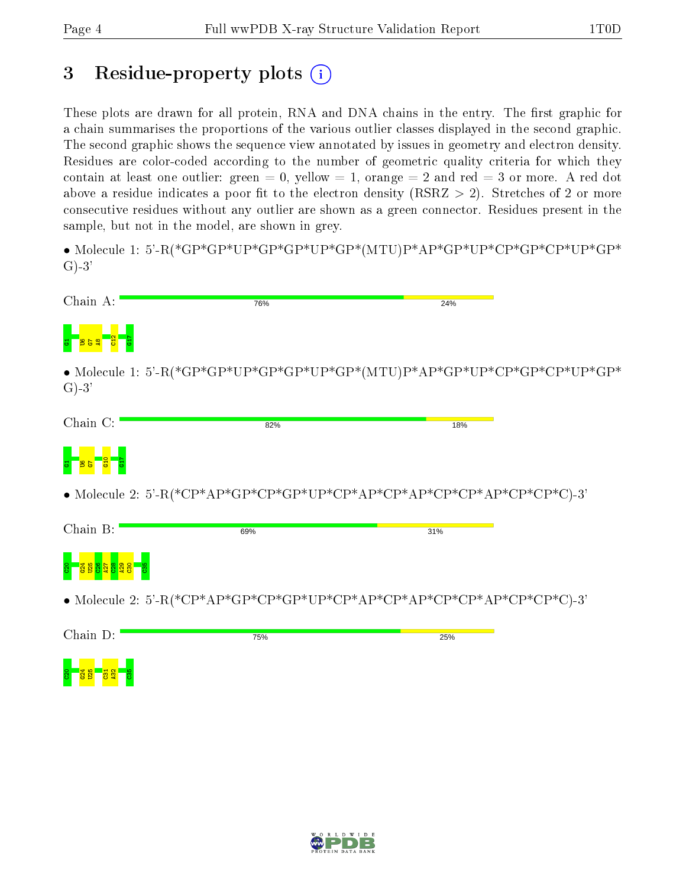# 3 Residue-property plots  $(i)$

These plots are drawn for all protein, RNA and DNA chains in the entry. The first graphic for a chain summarises the proportions of the various outlier classes displayed in the second graphic. The second graphic shows the sequence view annotated by issues in geometry and electron density. Residues are color-coded according to the number of geometric quality criteria for which they contain at least one outlier: green  $= 0$ , yellow  $= 1$ , orange  $= 2$  and red  $= 3$  or more. A red dot above a residue indicates a poor fit to the electron density (RSRZ  $> 2$ ). Stretches of 2 or more consecutive residues without any outlier are shown as a green connector. Residues present in the sample, but not in the model, are shown in grey.

• Molecule 1: 5'-R(\*GP\*GP\*UP\*GP\*GP\*UP\*GP\*(MTU)P\*AP\*GP\*UP\*CP\*GP\*CP\*UP\*GP\*  $G$ -3'

| Chain A: | 76% | 24%                                                                         |
|----------|-----|-----------------------------------------------------------------------------|
|          |     |                                                                             |
| $G$ )-3' |     | $\bullet$ Molecule 1: 5'-R(*GP*GP*UP*GP*UP*GP*(MTU)P*AP*GP*UP*CP*GP*UP*GP*  |
| Chain C: | 82% | 18%                                                                         |
|          |     |                                                                             |
|          |     | • Molecule 2: 5'-R(*CP*AP*GP*CP*GP*UP*CP*AP*CP*AP*CP*CP*AP*CP*CP*C)-3'      |
| Chain B: | 69% | 31%                                                                         |
|          |     |                                                                             |
|          |     | $\bullet$ Molecule 2: 5'-R(*CP*AP*GP*CP*GP*UP*CP*AP*CP*AP*CP*AP*CP*CP*C)-3' |
| Chain D: | 75% | 25%                                                                         |
|          |     |                                                                             |

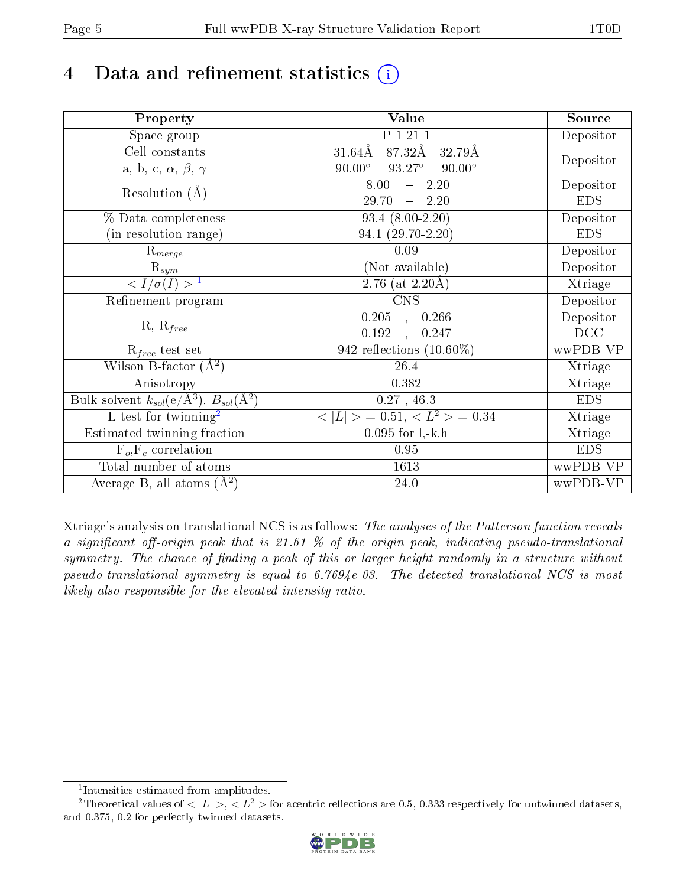# 4 Data and refinement statistics  $(i)$

| Property                                                             | Value                                           | Source     |
|----------------------------------------------------------------------|-------------------------------------------------|------------|
| Space group                                                          | P 1 21 1                                        | Depositor  |
| Cell constants                                                       | $87.3\overline{2A}$<br>$31.64\AA$<br>32.79Å     |            |
| a, b, c, $\alpha$ , $\beta$ , $\gamma$                               | $90.00^\circ$<br>$93.27^\circ$<br>$90.00^\circ$ | Depositor  |
| Resolution $(A)$                                                     | 8.00<br>$-2.20$                                 | Depositor  |
|                                                                      | 29.70<br>$-2.20$                                | <b>EDS</b> |
| % Data completeness                                                  | $93.4(8.00-2.20)$                               | Depositor  |
| (in resolution range)                                                | $94.1(29.70-2.20)$                              | <b>EDS</b> |
| $R_{merge}$                                                          | 0.09                                            | Depositor  |
| $\mathrm{R}_{sym}$                                                   | (Not available)                                 | Depositor  |
| $\sqrt{I/\sigma}(I) > 1$                                             | 2.76 (at $2.20\text{\AA})$                      | Xtriage    |
| Refinement program                                                   | <b>CNS</b>                                      | Depositor  |
|                                                                      | 0.205<br>0.266<br>$\mathcal{L}$                 | Depositor  |
| $R, R_{free}$                                                        | 0.192<br>0.247                                  | DCC        |
| $R_{free}$ test set                                                  | 942 reflections $(10.60\%)$                     | wwPDB-VP   |
| Wilson B-factor $(A^2)$                                              | 26.4                                            | Xtriage    |
| Anisotropy                                                           | 0.382                                           | Xtriage    |
| Bulk solvent $k_{sol}(e/\mathring{A}^3)$ , $B_{sol}(\mathring{A}^2)$ | $0.27$ , 46.3                                   | <b>EDS</b> |
| $\overline{L-test for }$ twinning <sup>2</sup>                       | $< L >$ = 0.51, $< L2 >$ = 0.34                 | Xtriage    |
| Estimated twinning fraction                                          | $0.095$ for $1, -k, h$                          | Xtriage    |
| $F_o, F_c$ correlation                                               | 0.95                                            | <b>EDS</b> |
| Total number of atoms                                                | 1613                                            | wwPDB-VP   |
| Average B, all atoms $(A^2)$                                         | $24.0\,$                                        | wwPDB-VP   |

Xtriage's analysis on translational NCS is as follows: The analyses of the Patterson function reveals a significant off-origin peak that is 21.61 % of the origin peak, indicating pseudo-translational symmetry. The chance of finding a peak of this or larger height randomly in a structure without pseudo-translational symmetry is equal to 6.7694e-03. The detected translational NCS is most likely also responsible for the elevated intensity ratio.

<sup>&</sup>lt;sup>2</sup>Theoretical values of  $\langle |L| \rangle$ ,  $\langle L^2 \rangle$  for acentric reflections are 0.5, 0.333 respectively for untwinned datasets, and 0.375, 0.2 for perfectly twinned datasets.



<span id="page-4-1"></span><span id="page-4-0"></span><sup>1</sup> Intensities estimated from amplitudes.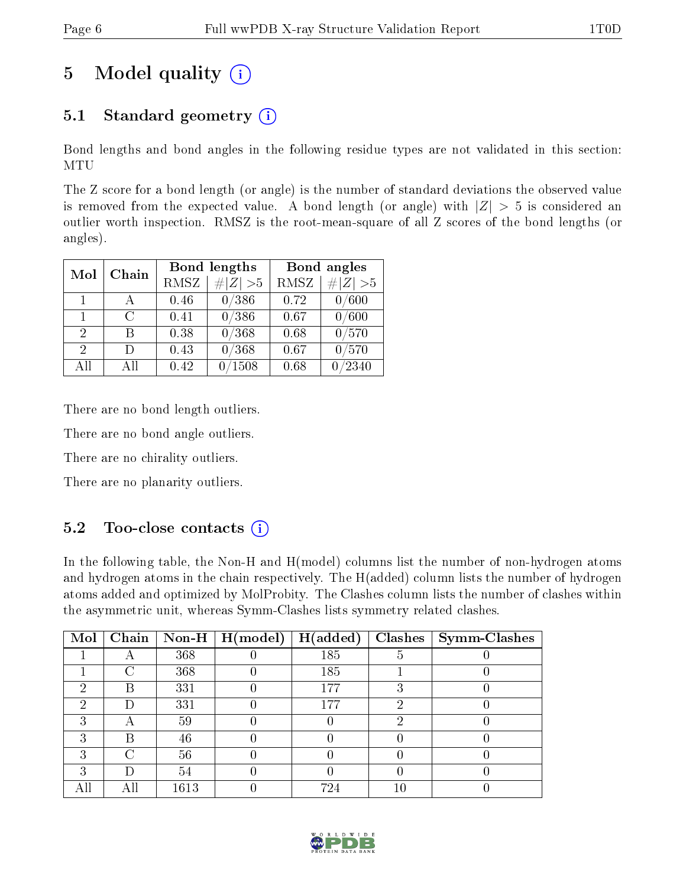# 5 Model quality  $(i)$

### 5.1 Standard geometry  $(i)$

Bond lengths and bond angles in the following residue types are not validated in this section: MTU

The Z score for a bond length (or angle) is the number of standard deviations the observed value is removed from the expected value. A bond length (or angle) with  $|Z| > 5$  is considered an outlier worth inspection. RMSZ is the root-mean-square of all Z scores of the bond lengths (or angles).

|                             |        |             | <b>Bond lengths</b> | Bond angles |           |  |
|-----------------------------|--------|-------------|---------------------|-------------|-----------|--|
| Chain<br>Mol                |        | <b>RMSZ</b> | $\# Z  > 5$         | <b>RMSZ</b> | # $ Z >5$ |  |
| 1                           |        | 0.46        | 0/386               | 0.72        | 0/600     |  |
| $\mathbf{1}$                | $\cap$ | 0.41        | 0/386               | 0.67        | 0/600     |  |
| $\overline{2}$              | В      | 0.38        | 0/368               | 0.68        | 0/570     |  |
| $\mathcal{D}_{\mathcal{L}}$ | Ð      | 0.43        | 0/368               | 0.67        | 0/570     |  |
| All                         | Αll    | 0.42        | 1508                | 0.68        | /2340     |  |

There are no bond length outliers.

There are no bond angle outliers.

There are no chirality outliers.

There are no planarity outliers.

### $5.2$  Too-close contacts  $\overline{1}$

In the following table, the Non-H and H(model) columns list the number of non-hydrogen atoms and hydrogen atoms in the chain respectively. The H(added) column lists the number of hydrogen atoms added and optimized by MolProbity. The Clashes column lists the number of clashes within the asymmetric unit, whereas Symm-Clashes lists symmetry related clashes.

| Mol |    |      | $\boxed{\text{Chain}}$ Non-H   H(model) | H(added) | $Clashes$   Symm-Clashes |
|-----|----|------|-----------------------------------------|----------|--------------------------|
|     |    | 368  |                                         | 185      |                          |
|     | C  | 368  |                                         | 185      |                          |
| ٠,  | В  | 331  |                                         | 177      |                          |
| ച   | I) | 331  |                                         | 177      |                          |
|     | 宀  | 59   |                                         |          |                          |
|     | В  | 46   |                                         |          |                          |
| ົ   | C  | 56   |                                         |          |                          |
| ົ   | I) | 54   |                                         |          |                          |
|     |    | 1613 |                                         | 724      |                          |

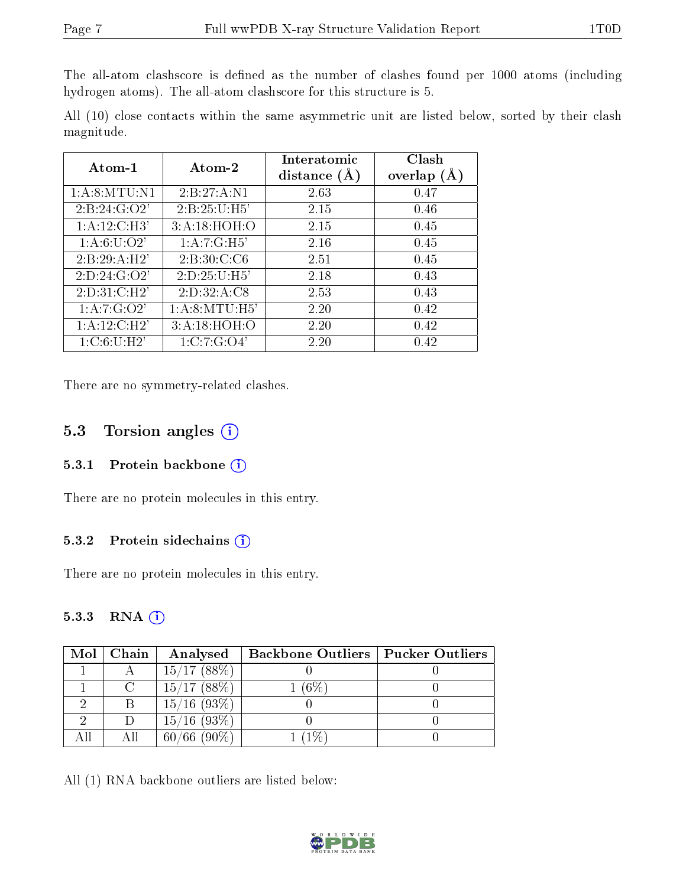The all-atom clashscore is defined as the number of clashes found per 1000 atoms (including hydrogen atoms). The all-atom clashscore for this structure is 5.

All (10) close contacts within the same asymmetric unit are listed below, sorted by their clash magnitude.

| Atom-1                    | Atom-2          | Interatomic<br>distance $(A)$ | Clash<br>overlap $(A)$ |
|---------------------------|-----------------|-------------------------------|------------------------|
| 1: A:8: MTU: N1           | 2:B:27:A:N1     | 2.63                          | 0.47                   |
| 2: B: 24: G: O2'          | 2: B:25:U:H5'   | 2.15                          | 0.46                   |
| $1:A:12:C:\overline{H3'}$ | 3:A:18:HOH:O    | 2.15                          | 0.45                   |
| 1: A:6: U:O2'             | 1:A:7:G:H5'     | 2.16                          | 0.45                   |
| 2:B:29:A:H2'              | 2: B:30: C: C6  | 2.51                          | 0.45                   |
| 2: D: 24: G: O2'          | 2: D: 25: U:H5' | 2.18                          | 0.43                   |
| 2:D:31:C:H2'              | 2: D: 32: A: C8 | 2.53                          | 0.43                   |
| 1:A:7:G:O2'               | 1: A:8: MTU:H5' | 2.20                          | 0.42                   |
| 1:A:12:C:H2'              | 3:A:18:HOH:O    | 2.20                          | 0.42                   |
| 1: C:6: U:H2'             | 1:C:7:G:O4'     | 2.20                          | 0.42                   |

There are no symmetry-related clashes.

#### 5.3 Torsion angles (i)

#### 5.3.1 Protein backbone (i)

There are no protein molecules in this entry.

#### 5.3.2 Protein sidechains  $(i)$

There are no protein molecules in this entry.

#### 5.3.3 RNA [O](https://www.wwpdb.org/validation/2017/XrayValidationReportHelp#rna)i

| $Mol$   Chain | Analysed          | <b>Backbone Outliers   Pucker Outliers</b> |  |
|---------------|-------------------|--------------------------------------------|--|
| $-A$          | 15/17(88%)        |                                            |  |
| $\mathcal{C}$ | 15/17(88%)        | $1(6\%)$                                   |  |
|               | $15/16$ (93\%)    |                                            |  |
|               | $15/16$ (93\%)    |                                            |  |
| АH            | $(90\%)$<br>60/66 | $-1\%$ )                                   |  |

All (1) RNA backbone outliers are listed below:

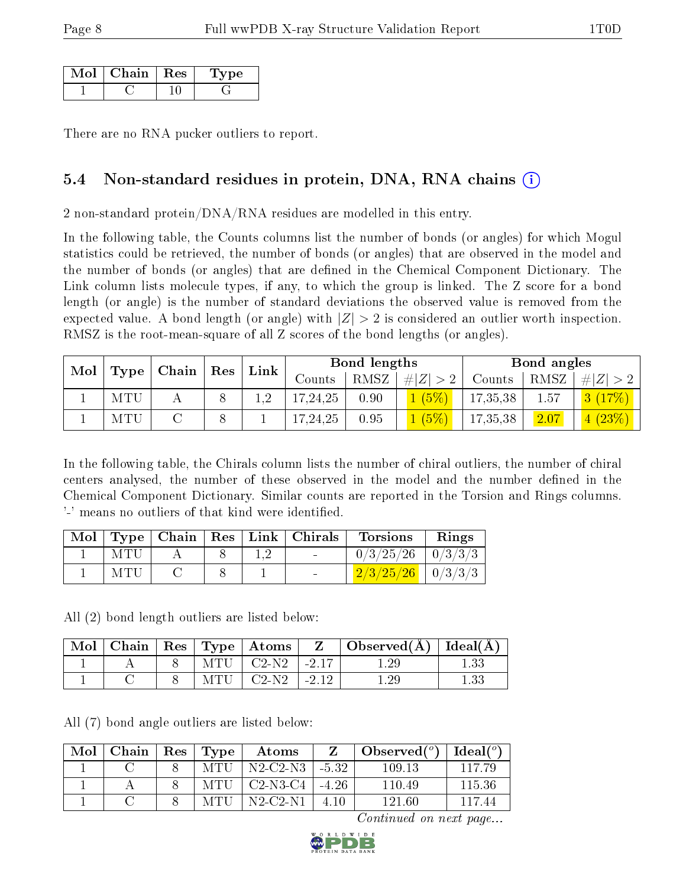| Chain | $\perp$ Res | vne |
|-------|-------------|-----|
|       |             |     |

There are no RNA pucker outliers to report.

### 5.4 Non-standard residues in protein, DNA, RNA chains (i)

2 non-standard protein/DNA/RNA residues are modelled in this entry.

In the following table, the Counts columns list the number of bonds (or angles) for which Mogul statistics could be retrieved, the number of bonds (or angles) that are observed in the model and the number of bonds (or angles) that are defined in the Chemical Component Dictionary. The Link column lists molecule types, if any, to which the group is linked. The Z score for a bond length (or angle) is the number of standard deviations the observed value is removed from the expected value. A bond length (or angle) with  $|Z| > 2$  is considered an outlier worth inspection. RMSZ is the root-mean-square of all Z scores of the bond lengths (or angles).

| Mol |      | Chain | Res | Link | Bond lengths |      |             |          | Bond angles |            |  |
|-----|------|-------|-----|------|--------------|------|-------------|----------|-------------|------------|--|
|     | Type |       |     |      | Counts       | RMSZ | $\# Z  > 2$ | Counts   | RMSZ        | $\ H\ Z\ $ |  |
|     | MTU  |       |     |      | 17,24,25     | 0.90 | 1(5%)       | 17,35,38 | 1.57        | 17%<br> 3  |  |
|     | MTU  |       |     |      | 17,24,25     | 0.95 | (5%)        | 17,35,38 | 2.07        | 4(23%)     |  |

In the following table, the Chirals column lists the number of chiral outliers, the number of chiral centers analysed, the number of these observed in the model and the number defined in the Chemical Component Dictionary. Similar counts are reported in the Torsion and Rings columns. '-' means no outliers of that kind were identified.

|      |  | Mol   Type   Chain   Res   Link   Chirals | <b>Torsions</b>                                    | Rings |
|------|--|-------------------------------------------|----------------------------------------------------|-------|
| MTU  |  |                                           | $0/3/25/26$   $0/3/3/3$                            |       |
| MTU. |  |                                           | $\left[\frac{2}{3}\right] \frac{25}{26}$   0/3/3/3 |       |

All (2) bond length outliers are listed below:

| Mol |  |      | $\Box$ Chain $\parallel$ Res $\parallel$ Type $\parallel$ Atoms |            | Observed $(A)$ | $\vert$ Ideal( $\AA$ ) |
|-----|--|------|-----------------------------------------------------------------|------------|----------------|------------------------|
|     |  |      | $MTU$   $C2-N2$                                                 | $1 - 2.17$ |                |                        |
|     |  | MTU. | $C2-N2$                                                         | $-212$     |                |                        |

All (7) bond angle outliers are listed below:

| Mol | Chain | Res | Type | Atoms                                |            | Observed $(°)$ | Ideal (°) |
|-----|-------|-----|------|--------------------------------------|------------|----------------|-----------|
|     |       |     | MTU  | $'$ N2-C2-N3.                        | $1 - 5.32$ | 109.13         | 117.79    |
|     |       |     | MTU  | $C2-N3-C4$                           | $-4.26$    | 110.49         | 115.36    |
|     |       |     | MTU  | $N2$ -C <sub>2</sub> -N <sub>1</sub> | 4 10       | 121.60         | 117 44    |

Continued on next page...

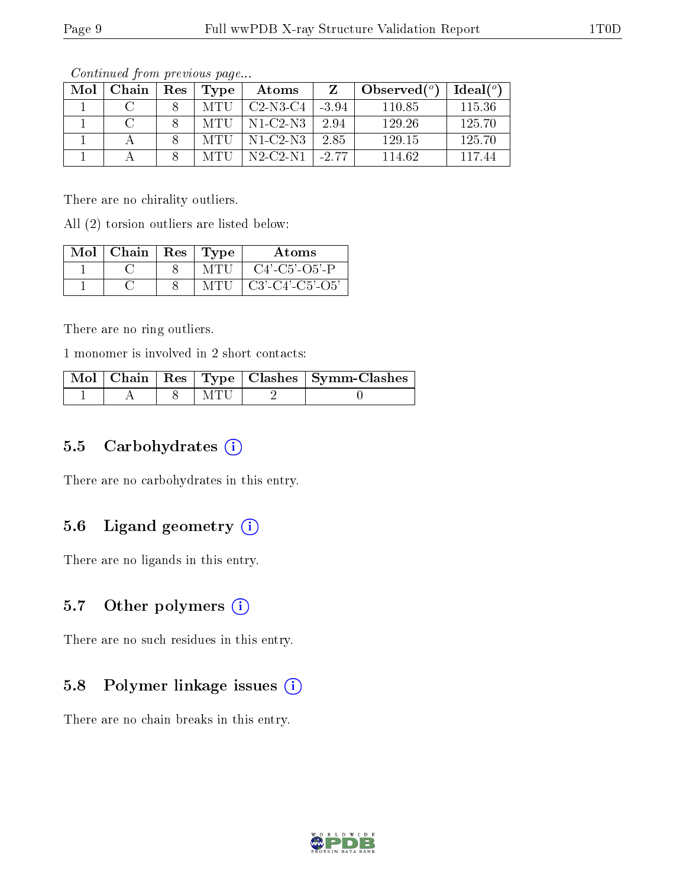| Mol | Chain | Res | Type | Atoms      |         | Observed $(°)$ | Ideal $(°)$ |
|-----|-------|-----|------|------------|---------|----------------|-------------|
|     |       |     | MTU  | $C2-N3-C4$ | $-3.94$ | 110.85         | 115.36      |
|     |       |     | MTU  | $N1-C2-N3$ | 2.94    | 129.26         | 125.70      |
|     |       |     | MTU  | $N1-C2-N3$ | 2.85    | 129.15         | 125.70      |
|     |       |     |      | $N2-C2-N1$ | $-2.77$ | 114.62         | 117 44      |

Continued from previous page...

There are no chirality outliers.

All (2) torsion outliers are listed below:

| $Mol$   Chain   Res   Type |      | <b>Atoms</b>                |
|----------------------------|------|-----------------------------|
|                            | MTU  | $C4'$ - $C5'$ - $O5'$ - $P$ |
|                            | MTU- | $C3'-C4'-C5'-O5'$           |

There are no ring outliers.

1 monomer is involved in 2 short contacts:

|  |      | Mol   Chain   Res   Type   Clashes   Symm-Clashes |
|--|------|---------------------------------------------------|
|  | M'EU |                                                   |

### 5.5 Carbohydrates (i)

There are no carbohydrates in this entry.

### 5.6 Ligand geometry  $(i)$

There are no ligands in this entry.

### 5.7 [O](https://www.wwpdb.org/validation/2017/XrayValidationReportHelp#nonstandard_residues_and_ligands)ther polymers  $(i)$

There are no such residues in this entry.

#### 5.8 Polymer linkage issues (i)

There are no chain breaks in this entry.

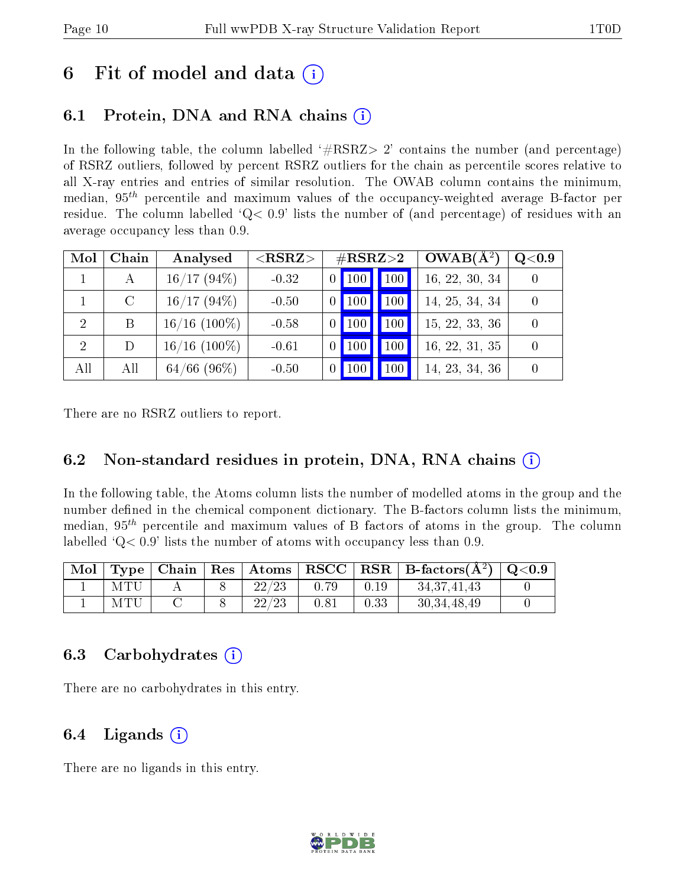## 6 Fit of model and data  $\circ$

## 6.1 Protein, DNA and RNA chains (i)

In the following table, the column labelled  $#RSRZ>2'$  contains the number (and percentage) of RSRZ outliers, followed by percent RSRZ outliers for the chain as percentile scores relative to all X-ray entries and entries of similar resolution. The OWAB column contains the minimum, median,  $95<sup>th</sup>$  percentile and maximum values of the occupancy-weighted average B-factor per residue. The column labelled  $Q < 0.9$  lists the number of (and percentage) of residues with an average occupancy less than 0.9.

| Mol            | Chain   | Analysed       | ${ <\hspace{-1.5pt}{\mathrm{RSRZ}} \hspace{-1.5pt}>}$ | $\rm \#RSRZ{>}2$ |           |     | $OWAB(A^2)$    | Q <sub>0.9</sub> |
|----------------|---------|----------------|-------------------------------------------------------|------------------|-----------|-----|----------------|------------------|
|                | А       | 16/17(94%)     | $-0.32$                                               |                  | $0$   100 | 100 | 16, 22, 30, 34 |                  |
|                | $\rm C$ | $16/17(94\%)$  | $-0.50$                                               |                  | 100       | 100 | 14, 25, 34, 34 |                  |
| $\overline{2}$ | B       | $16/16$ (100%) | $-0.58$                                               | $\overline{0}$   | 100       | 100 | 15, 22, 33, 36 | $\theta$         |
| 2              | D       | $16/16$ (100%) | $-0.61$                                               | $\vert 0 \vert$  | 100       | 100 | 16, 22, 31, 35 |                  |
| All            | All     | $64/66$ (96\%) | $-0.50$                                               |                  |           | 100 | 14, 23, 34, 36 |                  |

There are no RSRZ outliers to report.

### 6.2 Non-standard residues in protein, DNA, RNA chains  $(i)$

In the following table, the Atoms column lists the number of modelled atoms in the group and the number defined in the chemical component dictionary. The B-factors column lists the minimum, median,  $95<sup>th</sup>$  percentile and maximum values of B factors of atoms in the group. The column labelled  $Q< 0.9$  lists the number of atoms with occupancy less than 0.9.

| Mol |     |  |       |      |      | $\mid$ Type   Chain   Res   Atoms   RSCC   RSR   B-factors(A <sup>2</sup> )   Q<0.9 |  |
|-----|-----|--|-------|------|------|-------------------------------------------------------------------------------------|--|
|     | MTU |  | 22/23 | 0.79 | 0.19 | 34,37,41,43                                                                         |  |
|     | MTU |  | 22/23 | 0.81 | 0.33 | 30, 34, 48, 49                                                                      |  |

### 6.3 Carbohydrates  $(i)$

There are no carbohydrates in this entry.

#### 6.4 Ligands  $(i)$

There are no ligands in this entry.